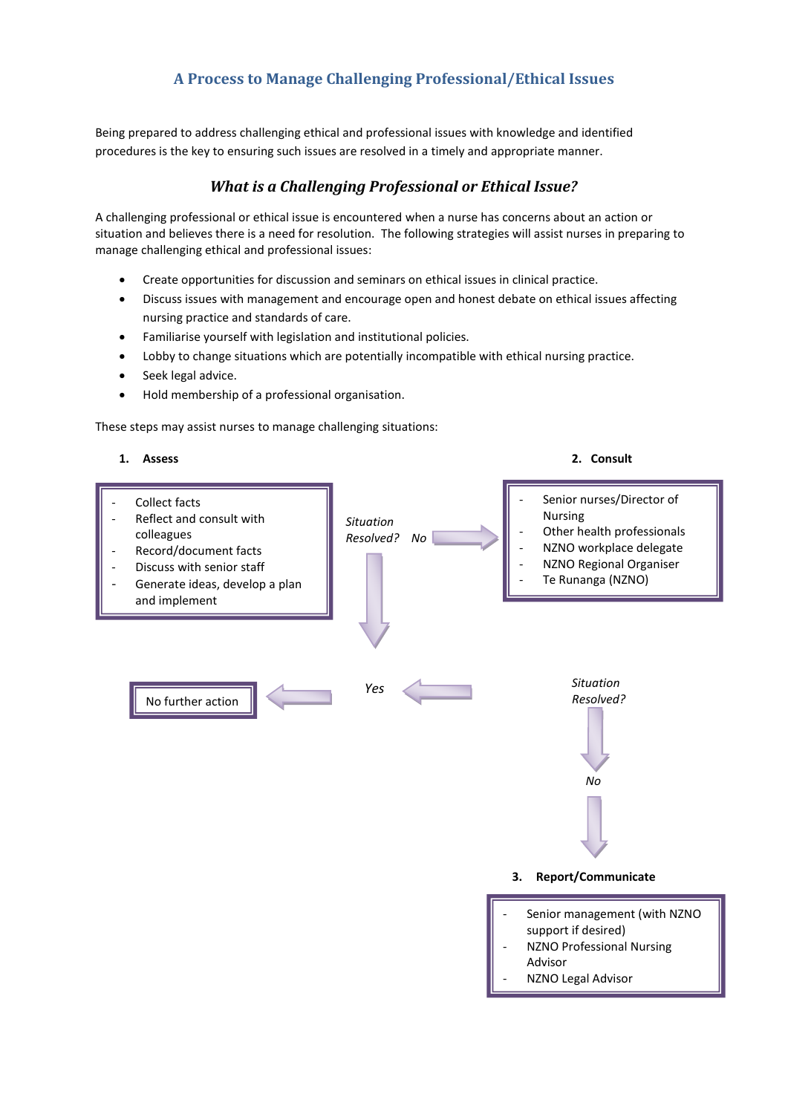## **A Process to Manage Challenging Professional/Ethical Issues**

Being prepared to address challenging ethical and professional issues with knowledge and identified procedures is the key to ensuring such issues are resolved in a timely and appropriate manner.

## *What is a Challenging Professional or Ethical Issue?*

A challenging professional or ethical issue is encountered when a nurse has concerns about an action or situation and believes there is a need for resolution. The following strategies will assist nurses in preparing to manage challenging ethical and professional issues:

- Create opportunities for discussion and seminars on ethical issues in clinical practice.
- Discuss issues with management and encourage open and honest debate on ethical issues affecting nursing practice and standards of care.
- Familiarise yourself with legislation and institutional policies.
- Lobby to change situations which are potentially incompatible with ethical nursing practice.
- Seek legal advice.
- Hold membership of a professional organisation.

These steps may assist nurses to manage challenging situations:

Collect facts Reflect and consult with colleagues Record/document facts Discuss with senior staff Generate ideas, develop a plan and implement **1. Assess 2. Consult** *Situation Resolved? No Situation Resolved? No* **3. Report/Communicate** Senior nurses/Director of Nursing Other health professionals NZNO workplace delegate NZNO Regional Organiser Te Runanga (NZNO) Senior management (with NZNO support if desired) - NZNO Professional Nursing No further action required to the control of the control of the control of the control of the control of the control of the control of the control of the control of the control of the control of the control of the control of the control of *Yes*

Advisor

NZNO Legal Advisor